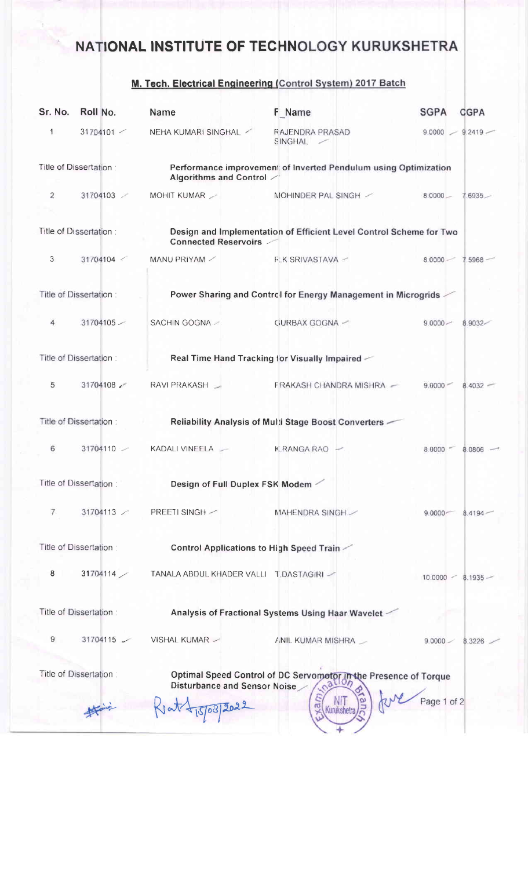## NATIONAL INSTITUTE OF TECHNOLOGY KURUKSHETRA

## M. Tech. Electrical Engineering (Control System) 2017 Batch

| 1<br>Title of Dissertation:<br>$\overline{2}$ | 31704101 | NEHA KUMARI SINGHAL                               | RAJENDRA PRASAD<br>SINGHAL                                                                       | 9.0000<br>$9.2419 -$              |
|-----------------------------------------------|----------|---------------------------------------------------|--------------------------------------------------------------------------------------------------|-----------------------------------|
|                                               |          |                                                   |                                                                                                  |                                   |
|                                               |          | Algorithms and Control /                          | Performance improvement of Inverted Pendulum using Optimization                                  |                                   |
|                                               | 31704103 | MOHIT KUMAR                                       | MOHINDER PAL SINGH /                                                                             | $8.0000 -$<br>$7.6935 -$          |
| Title of Dissertation:                        |          | <b>Connected Reservoirs</b>                       | Design and Implementation of Efficient Level Control Scheme for Two                              |                                   |
| 3                                             | 31704104 | MANU PRIYAM /                                     | <b>R.K SRIVASTAVA ~</b>                                                                          | 8.0000<br>7.5968                  |
| Title of Dissertation:                        |          |                                                   | Power Sharing and Control for Energy Management in Microgrids                                    |                                   |
| 4                                             | 31704105 | SACHIN GOGNA -                                    | GURBAX GOGNA -                                                                                   | $9.0000 -$<br>8.9032              |
| Title of Dissertation:                        |          |                                                   | Real Time Hand Tracking for Visually Impaired $\ll$                                              |                                   |
| 5                                             | 31704108 | RAVI PRAKASH _                                    | <b>PRAKASH CHANDRA MISHRA</b> -                                                                  | $9.0000 -$<br>$8.4032 -$          |
| Title of Dissertation:                        |          |                                                   | Reliability Analysis of Multi Stage Boost Converters -                                           |                                   |
| 6                                             | 31704110 | KADALI VINEELA                                    | K.RANGA RAO                                                                                      | 8.0000<br>8.0806                  |
| Title of Dissertation:                        |          | Design of Full Duplex FSK Modem                   |                                                                                                  |                                   |
| 7                                             | 31704113 | <b>PREETI SINGH</b> /                             | MAHENDRA SINGH /                                                                                 | 9.0000 <sub>7</sub><br>$8.4194 -$ |
| Title of Dissertation:                        |          | <b>Control Applications to High Speed Train -</b> |                                                                                                  |                                   |
| 8                                             | 31704114 | TANALA ABDUL KHADER VALLI T.DASTAGIRI -           |                                                                                                  | $10,0000 - 8,1935$                |
| Title of Dissertation:                        |          |                                                   | Analysis of Fractional Systems Using Haar Wavelet -                                              |                                   |
| 9                                             | 31704115 | VISHAL KUMAR -                                    | ANIL KUMAR MISHRA                                                                                | 9.0000<br>8.3226                  |
| Title of Dissertation:                        |          | Disturbance and Sensor Noise                      | Optimal Speed Control of DC Servometor In the Presence of Torque<br>Disturbance and Sonsor Noise | Page 1 of 2                       |